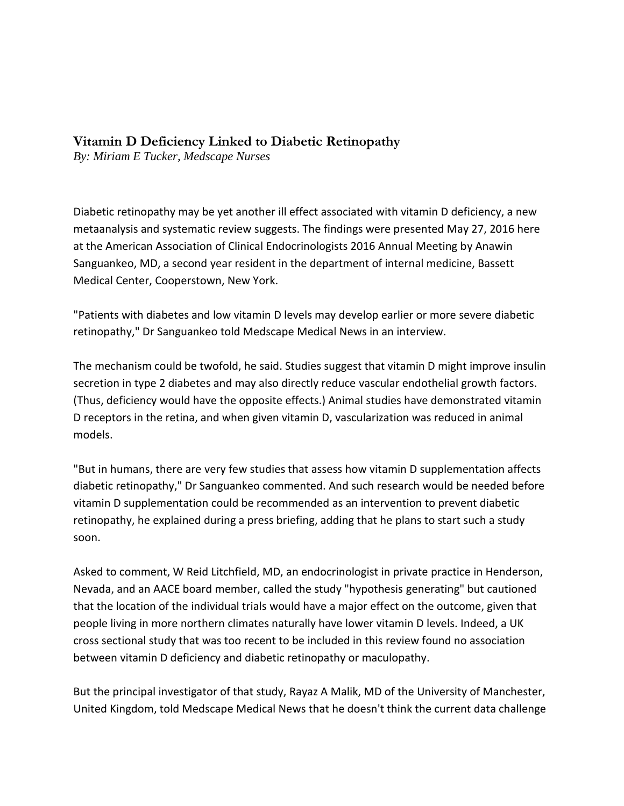## **Vitamin D Deficiency Linked to Diabetic Retinopathy**

*By: Miriam E Tucker, Medscape Nurses*

Diabetic retinopathy may be yet another ill effect associated with vitamin D deficiency, a new metaanalysis and systematic review suggests. The findings were presented May 27, 2016 here at the American Association of Clinical Endocrinologists 2016 Annual Meeting by Anawin Sanguankeo, MD, a second year resident in the department of internal medicine, Bassett Medical Center, Cooperstown, New York.

"Patients with diabetes and low vitamin D levels may develop earlier or more severe diabetic retinopathy," Dr Sanguankeo told Medscape Medical News in an interview.

The mechanism could be twofold, he said. Studies suggest that vitamin D might improve insulin secretion in type 2 diabetes and may also directly reduce vascular endothelial growth factors. (Thus, deficiency would have the opposite effects.) Animal studies have demonstrated vitamin D receptors in the retina, and when given vitamin D, vascularization was reduced in animal models.

"But in humans, there are very few studies that assess how vitamin D supplementation affects diabetic retinopathy," Dr Sanguankeo commented. And such research would be needed before vitamin D supplementation could be recommended as an intervention to prevent diabetic retinopathy, he explained during a press briefing, adding that he plans to start such a study soon.

Asked to comment, W Reid Litchfield, MD, an endocrinologist in private practice in Henderson, Nevada, and an AACE board member, called the study "hypothesis generating" but cautioned that the location of the individual trials would have a major effect on the outcome, given that people living in more northern climates naturally have lower vitamin D levels. Indeed, a UK cross sectional study that was too recent to be included in this review found no association between vitamin D deficiency and diabetic retinopathy or maculopathy.

But the principal investigator of that study, Rayaz A Malik, MD of the University of Manchester, United Kingdom, told Medscape Medical News that he doesn't think the current data challenge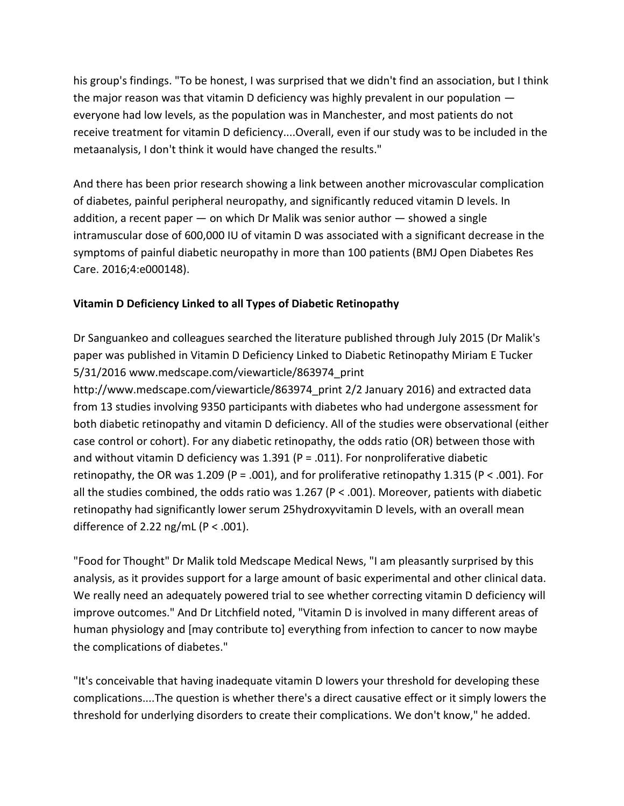his group's findings. "To be honest, I was surprised that we didn't find an association, but I think the major reason was that vitamin D deficiency was highly prevalent in our population everyone had low levels, as the population was in Manchester, and most patients do not receive treatment for vitamin D deficiency....Overall, even if our study was to be included in the metaanalysis, I don't think it would have changed the results."

And there has been prior research showing a link between another microvascular complication of diabetes, painful peripheral neuropathy, and significantly reduced vitamin D levels. In addition, a recent paper — on which Dr Malik was senior author — showed a single intramuscular dose of 600,000 IU of vitamin D was associated with a significant decrease in the symptoms of painful diabetic neuropathy in more than 100 patients (BMJ Open Diabetes Res Care. 2016;4:e000148).

## **Vitamin D Deficiency Linked to all Types of Diabetic Retinopathy**

Dr Sanguankeo and colleagues searched the literature published through July 2015 (Dr Malik's paper was published in Vitamin D Deficiency Linked to Diabetic Retinopathy Miriam E Tucker 5/31/2016 [www.medscape.com/viewarticle/863974\\_print](http://www.medscape.com/viewarticle/863974_print)

[http://www.medscape.com/viewarticle/863974\\_print](http://www.medscape.com/viewarticle/863974_print) 2/2 January 2016) and extracted data from 13 studies involving 9350 participants with diabetes who had undergone assessment for both diabetic retinopathy and vitamin D deficiency. All of the studies were observational (either case control or cohort). For any diabetic retinopathy, the odds ratio (OR) between those with and without vitamin D deficiency was 1.391 ( $P = .011$ ). For nonproliferative diabetic retinopathy, the OR was 1.209 (P = .001), and for proliferative retinopathy 1.315 (P < .001). For all the studies combined, the odds ratio was 1.267 (P < .001). Moreover, patients with diabetic retinopathy had significantly lower serum 25hydroxyvitamin D levels, with an overall mean difference of 2.22 ng/mL ( $P < .001$ ).

"Food for Thought" Dr Malik told Medscape Medical News, "I am pleasantly surprised by this analysis, as it provides support for a large amount of basic experimental and other clinical data. We really need an adequately powered trial to see whether correcting vitamin D deficiency will improve outcomes." And Dr Litchfield noted, "Vitamin D is involved in many different areas of human physiology and [may contribute to] everything from infection to cancer to now maybe the complications of diabetes."

"It's conceivable that having inadequate vitamin D lowers your threshold for developing these complications....The question is whether there's a direct causative effect or it simply lowers the threshold for underlying disorders to create their complications. We don't know," he added.